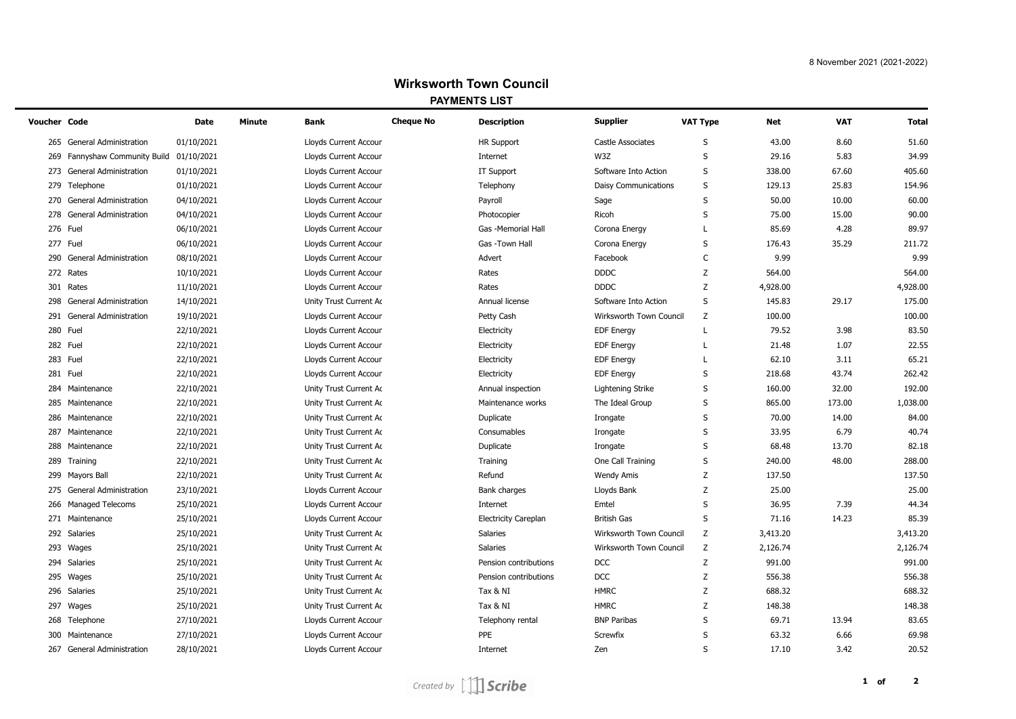| Voucher Code |                                      | Date       | Minute | <b>Bank</b>                  | <b>Cheque No</b> | <b>Description</b>          | <b>Supplier</b>          | VAT Type    | Net      | <b>VAT</b> | <b>Total</b> |
|--------------|--------------------------------------|------------|--------|------------------------------|------------------|-----------------------------|--------------------------|-------------|----------|------------|--------------|
|              | 265 General Administration           | 01/10/2021 |        | <b>Lloyds Current Accour</b> |                  | <b>HR Support</b>           | <b>Castle Associates</b> | S           | 43.00    | 8.60       | 51.60        |
| 269          | Fannyshaw Community Build 01/10/2021 |            |        | Lloyds Current Accour        |                  | Internet                    | W3Z                      | S           | 29.16    | 5.83       | 34.99        |
| 273          | <b>General Administration</b>        | 01/10/2021 |        | Lloyds Current Accour        |                  | IT Support                  | Software Into Action     | S           | 338.00   | 67.60      | 405.60       |
| 279          | Telephone                            | 01/10/2021 |        | Lloyds Current Accour        |                  | Telephony                   | Daisy Communications     | S           | 129.13   | 25.83      | 154.96       |
| 270          | <b>General Administration</b>        | 04/10/2021 |        | Lloyds Current Accour        |                  | Payroll                     | Sage                     | S           | 50.00    | 10.00      | 60.00        |
| 278          | <b>General Administration</b>        | 04/10/2021 |        | Lloyds Current Accour        |                  | Photocopier                 | Ricoh                    | S           | 75.00    | 15.00      | 90.00        |
|              | 276 Fuel                             | 06/10/2021 |        | Lloyds Current Accour        |                  | Gas -Memorial Hall          | Corona Energy            | L           | 85.69    | 4.28       | 89.97        |
|              | 277 Fuel                             | 06/10/2021 |        | Lloyds Current Accour        |                  | Gas -Town Hall              | Corona Energy            | S           | 176.43   | 35.29      | 211.72       |
| 290          | <b>General Administration</b>        | 08/10/2021 |        | Lloyds Current Accour        |                  | Advert                      | Facebook                 | C           | 9.99     |            | 9.99         |
|              | 272 Rates                            | 10/10/2021 |        | Lloyds Current Accour        |                  | Rates                       | <b>DDDC</b>              | Z           | 564.00   |            | 564.00       |
|              | 301 Rates                            | 11/10/2021 |        | Lloyds Current Accour        |                  | Rates                       | <b>DDDC</b>              | Z           | 4,928.00 |            | 4,928.00     |
| 298          | <b>General Administration</b>        | 14/10/2021 |        | Unity Trust Current Ac       |                  | Annual license              | Software Into Action     | S           | 145.83   | 29.17      | 175.00       |
|              | 291 General Administration           | 19/10/2021 |        | Lloyds Current Accour        |                  | Petty Cash                  | Wirksworth Town Council  | Z           | 100.00   |            | 100.00       |
|              | 280 Fuel                             | 22/10/2021 |        | Lloyds Current Accour        |                  | Electricity                 | <b>EDF Energy</b>        | L           | 79.52    | 3.98       | 83.50        |
|              | 282 Fuel                             | 22/10/2021 |        | Lloyds Current Accour        |                  | Electricity                 | <b>EDF</b> Energy        | L           | 21.48    | 1.07       | 22.55        |
|              | 283 Fuel                             | 22/10/2021 |        | Lloyds Current Accour        |                  | Electricity                 | <b>EDF Energy</b>        | L           | 62.10    | 3.11       | 65.21        |
|              | 281 Fuel                             | 22/10/2021 |        | Lloyds Current Accour        |                  | Electricity                 | <b>EDF</b> Energy        | S           | 218.68   | 43.74      | 262.42       |
|              | 284 Maintenance                      | 22/10/2021 |        | Unity Trust Current Ac       |                  | Annual inspection           | Lightening Strike        | S           | 160.00   | 32.00      | 192.00       |
|              | 285 Maintenance                      | 22/10/2021 |        | Unity Trust Current Ac       |                  | Maintenance works           | The Ideal Group          | S           | 865.00   | 173.00     | 1,038.00     |
|              | 286 Maintenance                      | 22/10/2021 |        | Unity Trust Current Ac       |                  | Duplicate                   | Irongate                 | S           | 70.00    | 14.00      | 84.00        |
|              | 287 Maintenance                      | 22/10/2021 |        | Unity Trust Current Ac       |                  | Consumables                 | Irongate                 | S           | 33.95    | 6.79       | 40.74        |
|              | 288 Maintenance                      | 22/10/2021 |        | Unity Trust Current Ac       |                  | Duplicate                   | Irongate                 | S           | 68.48    | 13.70      | 82.18        |
|              | 289 Training                         | 22/10/2021 |        | Unity Trust Current Ac       |                  | Training                    | One Call Training        | S           | 240.00   | 48.00      | 288.00       |
|              | 299 Mayors Ball                      | 22/10/2021 |        | Unity Trust Current Ac       |                  | Refund                      | <b>Wendy Amis</b>        | Z           | 137.50   |            | 137.50       |
| 275          | General Administration               | 23/10/2021 |        | Lloyds Current Accour        |                  | Bank charges                | Lloyds Bank              | Z           | 25.00    |            | 25.00        |
|              | 266 Managed Telecoms                 | 25/10/2021 |        | Lloyds Current Accour        |                  | Internet                    | Emtel                    | S           | 36.95    | 7.39       | 44.34        |
|              | 271 Maintenance                      | 25/10/2021 |        | Lloyds Current Accour        |                  | <b>Electricity Careplan</b> | <b>British Gas</b>       | S           | 71.16    | 14.23      | 85.39        |
|              | 292 Salaries                         | 25/10/2021 |        | Unity Trust Current Ac       |                  | Salaries                    | Wirksworth Town Council  | Z           | 3,413.20 |            | 3,413.20     |
|              | 293 Wages                            | 25/10/2021 |        | Unity Trust Current Ac       |                  | Salaries                    | Wirksworth Town Council  | Z           | 2,126.74 |            | 2,126.74     |
|              | 294 Salaries                         | 25/10/2021 |        | Unity Trust Current Ac       |                  | Pension contributions       | <b>DCC</b>               | Z           | 991.00   |            | 991.00       |
| 295          | Wages                                | 25/10/2021 |        | Unity Trust Current Ac       |                  | Pension contributions       | DCC                      | Z           | 556.38   |            | 556.38       |
|              | 296 Salaries                         | 25/10/2021 |        | Unity Trust Current Ac       |                  | Tax & NI                    | <b>HMRC</b>              | Z           | 688.32   |            | 688.32       |
|              | 297 Wages                            | 25/10/2021 |        | Unity Trust Current Ac       |                  | Tax & NI                    | <b>HMRC</b>              | Z           | 148.38   |            | 148.38       |
|              | 268 Telephone                        | 27/10/2021 |        | Lloyds Current Accour        |                  | Telephony rental            | <b>BNP Paribas</b>       | S           | 69.71    | 13.94      | 83.65        |
|              | 300 Maintenance                      | 27/10/2021 |        | Lloyds Current Accour        |                  | PPE                         | Screwfix                 | S           | 63.32    | 6.66       | 69.98        |
|              | 267 General Administration           | 28/10/2021 |        | Lloyds Current Accour        |                  | Internet                    | Zen                      | $\mathbf S$ | 17.10    | 3.42       | 20.52        |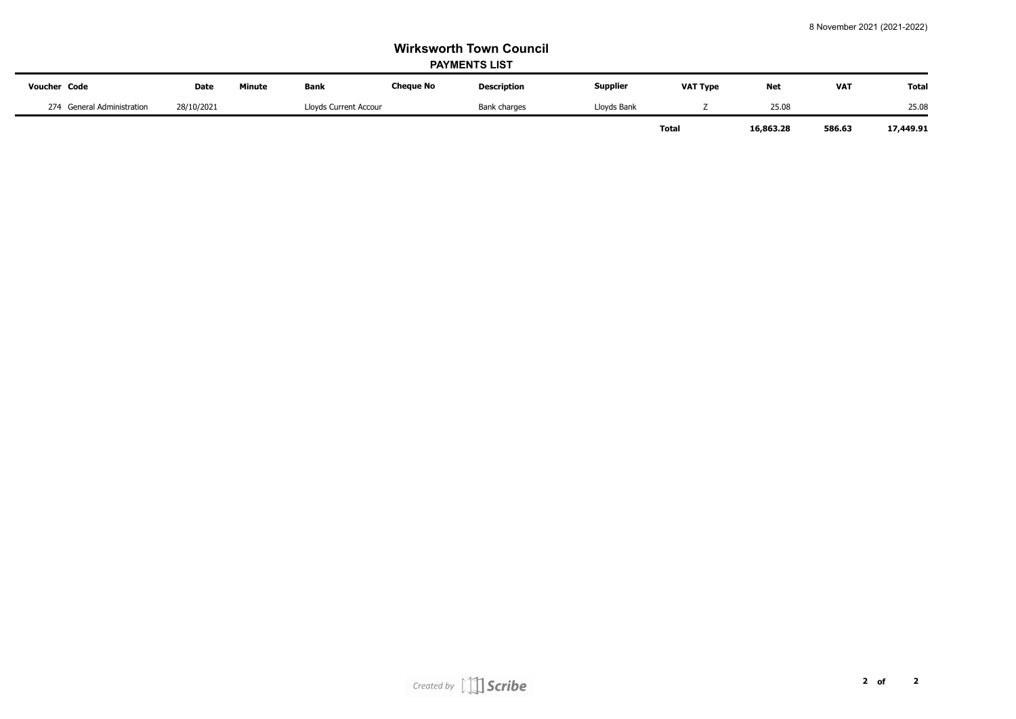| <b>Voucher Code</b>        | <b>Date</b> | <b>Minute</b>         | <b>Bank</b> | <b>Cheque No</b> | <b>Description</b> | <b>Supplier</b> | <b>VAT Type</b> | <b>Net</b> | <b>VAT</b> | <b>Total</b> |
|----------------------------|-------------|-----------------------|-------------|------------------|--------------------|-----------------|-----------------|------------|------------|--------------|
| 274 General Administration | 28/10/2021  | Lloyds Current Accour |             | Bank charges     | Lloyds Bank        |                 | 25.08           |            | 25.08      |              |
|                            |             |                       |             |                  |                    | Total           |                 | 16,863.28  | 586.63     | 17,449.91    |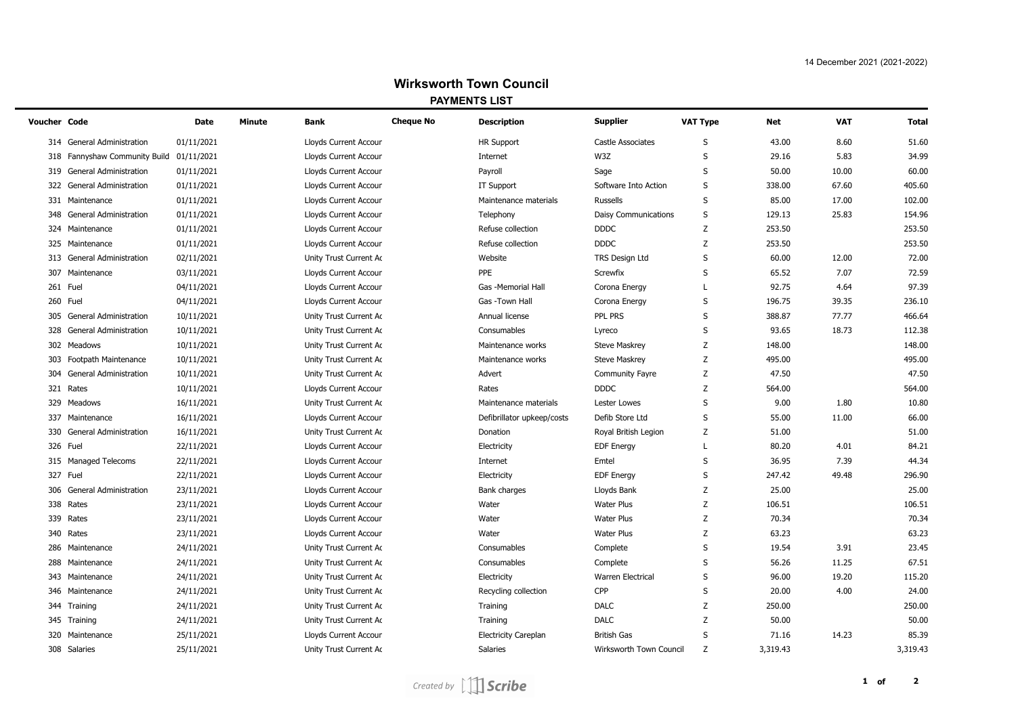| Voucher Code |                                          | Date       | Minute | <b>Bank</b>            | <b>Cheque No</b> | <b>Description</b>          | <b>Supplier</b>          | VAT Type | Net      | <b>VAT</b> | <b>Total</b> |
|--------------|------------------------------------------|------------|--------|------------------------|------------------|-----------------------------|--------------------------|----------|----------|------------|--------------|
|              | 314 General Administration               | 01/11/2021 |        | Lloyds Current Accour  |                  | <b>HR Support</b>           | <b>Castle Associates</b> | S        | 43.00    | 8.60       | 51.60        |
|              | 318 Fannyshaw Community Build 01/11/2021 |            |        | Lloyds Current Accour  |                  | Internet                    | W3Z                      | S        | 29.16    | 5.83       | 34.99        |
| 319          | <b>General Administration</b>            | 01/11/2021 |        | Lloyds Current Accour  |                  | Payroll                     | Sage                     | S        | 50.00    | 10.00      | 60.00        |
| 322          | <b>General Administration</b>            | 01/11/2021 |        | Lloyds Current Accour  |                  | IT Support                  | Software Into Action     | S        | 338.00   | 67.60      | 405.60       |
|              | 331 Maintenance                          | 01/11/2021 |        | Lloyds Current Accour  |                  | Maintenance materials       | <b>Russells</b>          | S        | 85.00    | 17.00      | 102.00       |
| 348          | <b>General Administration</b>            | 01/11/2021 |        | Lloyds Current Accour  |                  | Telephony                   | Daisy Communications     | S        | 129.13   | 25.83      | 154.96       |
|              | 324 Maintenance                          | 01/11/2021 |        | Lloyds Current Accour  |                  | Refuse collection           | <b>DDDC</b>              | Z        | 253.50   |            | 253.50       |
| 325          | Maintenance                              | 01/11/2021 |        | Lloyds Current Accour  |                  | Refuse collection           | <b>DDDC</b>              | Z        | 253.50   |            | 253.50       |
| 313          | <b>General Administration</b>            | 02/11/2021 |        | Unity Trust Current Ac |                  | Website                     | <b>TRS Design Ltd</b>    | S        | 60.00    | 12.00      | 72.00        |
| 307          | Maintenance                              | 03/11/2021 |        | Lloyds Current Accour  |                  | PPE                         | Screwfix                 | S        | 65.52    | 7.07       | 72.59        |
|              | 261 Fuel                                 | 04/11/2021 |        | Lloyds Current Accour  |                  | Gas -Memorial Hall          | Corona Energy            | L        | 92.75    | 4.64       | 97.39        |
|              | 260 Fuel                                 | 04/11/2021 |        | Lloyds Current Accour  |                  | Gas -Town Hall              | Corona Energy            | S        | 196.75   | 39.35      | 236.10       |
| 305          | <b>General Administration</b>            | 10/11/2021 |        | Unity Trust Current Ac |                  | Annual license              | PPL PRS                  | S        | 388.87   | 77.77      | 466.64       |
| 328          | General Administration                   | 10/11/2021 |        | Unity Trust Current Ac |                  | Consumables                 | Lyreco                   | S        | 93.65    | 18.73      | 112.38       |
|              | 302 Meadows                              | 10/11/2021 |        | Unity Trust Current Ac |                  | Maintenance works           | <b>Steve Maskrey</b>     | Z        | 148.00   |            | 148.00       |
|              | 303 Footpath Maintenance                 | 10/11/2021 |        | Unity Trust Current Ac |                  | Maintenance works           | <b>Steve Maskrey</b>     | Z        | 495.00   |            | 495.00       |
| 304          | <b>General Administration</b>            | 10/11/2021 |        | Unity Trust Current Ac |                  | Advert                      | <b>Community Fayre</b>   | Z        | 47.50    |            | 47.50        |
|              | 321 Rates                                | 10/11/2021 |        | Lloyds Current Accour  |                  | Rates                       | <b>DDDC</b>              | Z        | 564.00   |            | 564.00       |
| 329          | Meadows                                  | 16/11/2021 |        | Unity Trust Current Ac |                  | Maintenance materials       | Lester Lowes             | S        | 9.00     | 1.80       | 10.80        |
| 337          | Maintenance                              | 16/11/2021 |        | Lloyds Current Accour  |                  | Defibrillator upkeep/costs  | Defib Store Ltd          | S        | 55.00    | 11.00      | 66.00        |
| 330          | <b>General Administration</b>            | 16/11/2021 |        | Unity Trust Current Ac |                  | Donation                    | Royal British Legion     | Z        | 51.00    |            | 51.00        |
|              | 326 Fuel                                 | 22/11/2021 |        | Lloyds Current Accour  |                  | Electricity                 | <b>EDF Energy</b>        | L        | 80.20    | 4.01       | 84.21        |
|              | 315 Managed Telecoms                     | 22/11/2021 |        | Lloyds Current Accour  |                  | Internet                    | Emtel                    | S        | 36.95    | 7.39       | 44.34        |
|              | 327 Fuel                                 | 22/11/2021 |        | Lloyds Current Accour  |                  | Electricity                 | <b>EDF Energy</b>        | S        | 247.42   | 49.48      | 296.90       |
| 306          | <b>General Administration</b>            | 23/11/2021 |        | Lloyds Current Accour  |                  | Bank charges                | Lloyds Bank              | Z        | 25.00    |            | 25.00        |
|              | 338 Rates                                | 23/11/2021 |        | Lloyds Current Accour  |                  | Water                       | Water Plus               | Z        | 106.51   |            | 106.51       |
| 339          | Rates                                    | 23/11/2021 |        | Lloyds Current Accour  |                  | Water                       | <b>Water Plus</b>        | Z        | 70.34    |            | 70.34        |
|              | 340 Rates                                | 23/11/2021 |        | Lloyds Current Accour  |                  | Water                       | <b>Water Plus</b>        | Z        | 63.23    |            | 63.23        |
|              | 286 Maintenance                          | 24/11/2021 |        | Unity Trust Current Ac |                  | Consumables                 | Complete                 | S        | 19.54    | 3.91       | 23.45        |
|              | 288 Maintenance                          | 24/11/2021 |        | Unity Trust Current Ac |                  | Consumables                 | Complete                 | S        | 56.26    | 11.25      | 67.51        |
|              | 343 Maintenance                          | 24/11/2021 |        | Unity Trust Current Ac |                  | Electricity                 | <b>Warren Electrical</b> | S        | 96.00    | 19.20      | 115.20       |
|              | 346 Maintenance                          | 24/11/2021 |        | Unity Trust Current Ac |                  | Recycling collection        | CPP                      | S        | 20.00    | 4.00       | 24.00        |
|              | 344 Training                             | 24/11/2021 |        | Unity Trust Current Ac |                  | Training                    | <b>DALC</b>              | Z        | 250.00   |            | 250.00       |
|              | 345 Training                             | 24/11/2021 |        | Unity Trust Current Ac |                  | Training                    | <b>DALC</b>              | Z        | 50.00    |            | 50.00        |
| 320          | Maintenance                              | 25/11/2021 |        | Lloyds Current Accour  |                  | <b>Electricity Careplan</b> | <b>British Gas</b>       | S        | 71.16    | 14.23      | 85.39        |
|              | 308 Salaries                             | 25/11/2021 |        | Unity Trust Current Ac |                  | <b>Salaries</b>             | Wirksworth Town Council  | Z        | 3,319.43 |            | 3,319.43     |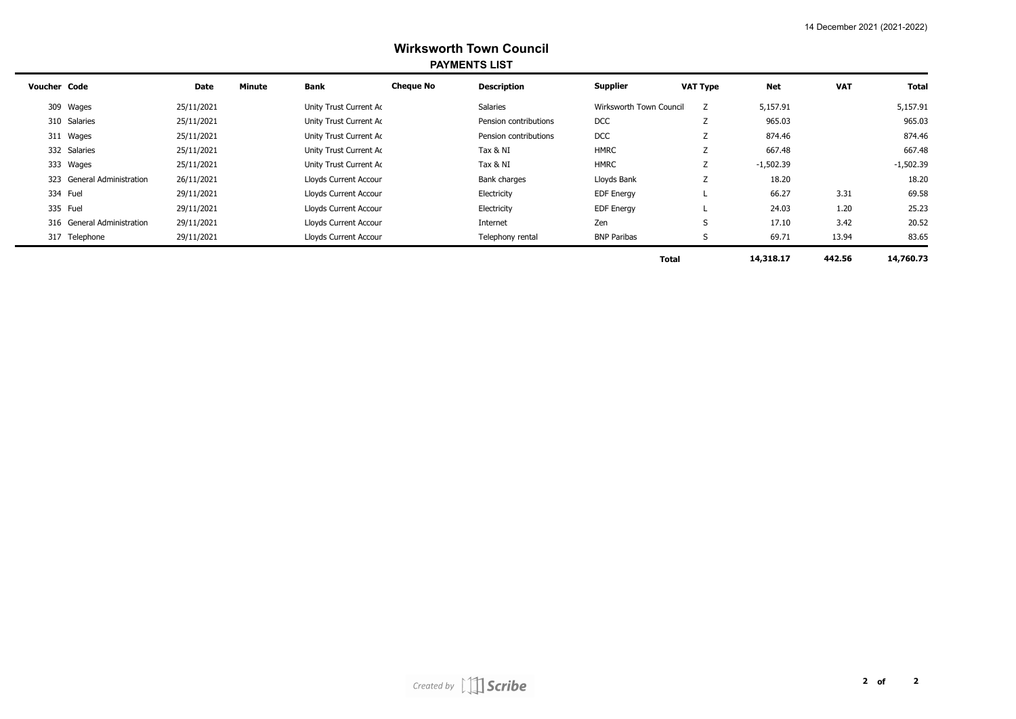| <b>Voucher Code</b>        | Date       | Minute | <b>Bank</b>            | <b>Cheque No</b> | <b>Description</b>    | <b>Supplier</b>         | <b>VAT Type</b>     | <b>Net</b>  | <b>VAT</b> | <b>Total</b> |
|----------------------------|------------|--------|------------------------|------------------|-----------------------|-------------------------|---------------------|-------------|------------|--------------|
| 309 Wages                  | 25/11/2021 |        | Unity Trust Current Ac |                  | Salaries              | Wirksworth Town Council | Z                   | 5,157.91    |            | 5,157.91     |
| 310 Salaries               | 25/11/2021 |        | Unity Trust Current Ac |                  | Pension contributions | <b>DCC</b>              | Z                   | 965.03      |            | 965.03       |
| 311 Wages                  | 25/11/2021 |        | Unity Trust Current Ac |                  | Pension contributions | <b>DCC</b>              | Z                   | 874.46      |            | 874.46       |
| 332 Salaries               | 25/11/2021 |        | Unity Trust Current Ac |                  | Tax & NI              | <b>HMRC</b>             | Z                   | 667.48      |            | 667.48       |
| 333 Wages                  | 25/11/2021 |        | Unity Trust Current Ac |                  | Tax & NI              | <b>HMRC</b>             | Z                   | $-1,502.39$ |            | $-1,502.39$  |
| 323 General Administration | 26/11/2021 |        | Lloyds Current Accour  |                  | Bank charges          | Lloyds Bank             | $\overline{ }$<br>L | 18.20       |            | 18.20        |
| 334 Fuel                   | 29/11/2021 |        | Lloyds Current Accour  |                  | Electricity           | <b>EDF Energy</b>       |                     | 66.27       | 3.31       | 69.58        |
| 335 Fuel                   | 29/11/2021 |        | Lloyds Current Accour  |                  | Electricity           | <b>EDF Energy</b>       |                     | 24.03       | 1.20       | 25.23        |
| 316 General Administration | 29/11/2021 |        | Lloyds Current Accour  |                  | Internet              | Zen                     | S                   | 17.10       | 3.42       | 20.52        |
| 317 Telephone              | 29/11/2021 |        | Lloyds Current Accour  |                  | Telephony rental      | <b>BNP Paribas</b>      | S                   | 69.71       | 13.94      | 83.65        |
|                            |            |        |                        |                  |                       |                         | <b>Total</b>        | 14,318.17   | 442.56     | 14,760.73    |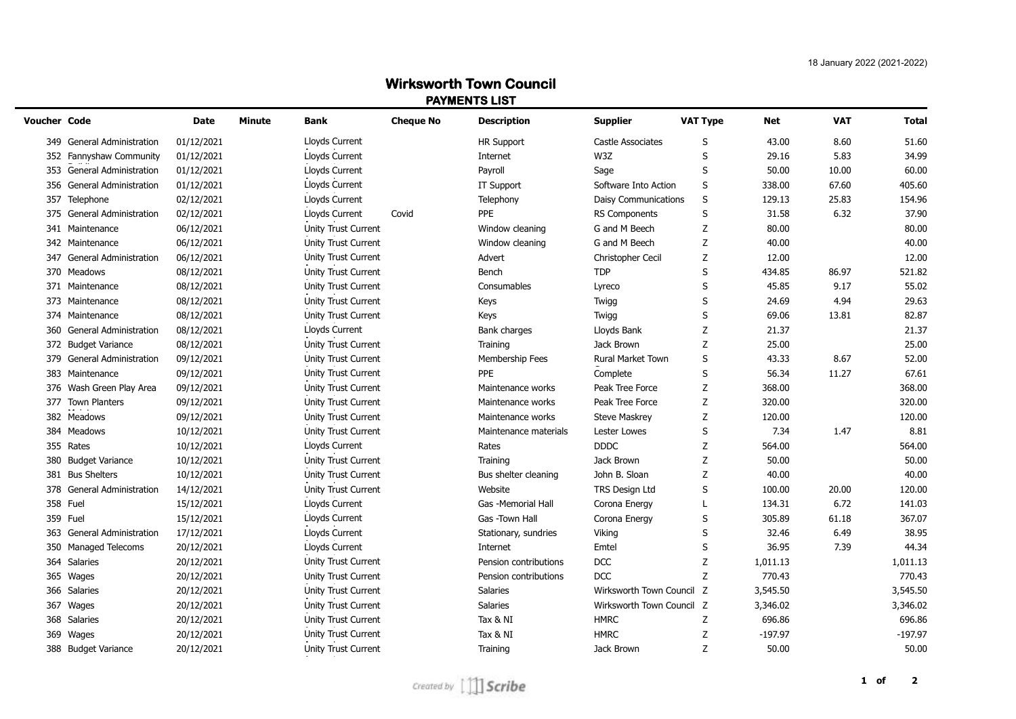| <b>Voucher Code</b>                  | <b>Date</b> | <b>Minute</b> | <b>Bank</b>         | <b>Cheque No</b> | <b>Description</b>    | <b>Supplier</b>           | <b>VAT Type</b> | Net       | <b>VAT</b> | <b>Total</b> |
|--------------------------------------|-------------|---------------|---------------------|------------------|-----------------------|---------------------------|-----------------|-----------|------------|--------------|
| 349 General Administration           | 01/12/2021  |               | Lloyds Current      |                  | <b>HR Support</b>     | Castle Associates         | S               | 43.00     | 8.60       | 51.60        |
| 352 Fannyshaw Community              | 01/12/2021  |               | Lloyds Current      |                  | Internet              | W3Z                       | S               | 29.16     | 5.83       | 34.99        |
| 353 General Administration           | 01/12/2021  |               | Lloyds Current      |                  | Payroll               | Sage                      | S               | 50.00     | 10.00      | 60.00        |
| 356<br>General Administration        | 01/12/2021  |               | Lloyds Current      |                  | IT Support            | Software Into Action      | S               | 338.00    | 67.60      | 405.60       |
| 357<br>Telephone                     | 02/12/2021  |               | Lloyds Current      |                  | Telephony             | Daisy Communications      | $\sf S$         | 129.13    | 25.83      | 154.96       |
| General Administration<br>375        | 02/12/2021  |               | Lloyds Current      | Covid            | PPE                   | <b>RS Components</b>      | $\sf S$         | 31.58     | 6.32       | 37.90        |
| 341<br>Maintenance                   | 06/12/2021  |               | Unity Trust Current |                  | Window cleaning       | G and M Beech             | Z               | 80.00     |            | 80.00        |
| 342 Maintenance                      | 06/12/2021  |               | Unity Trust Current |                  | Window cleaning       | G and M Beech             | Ζ               | 40.00     |            | 40.00        |
| 347<br>General Administration        | 06/12/2021  |               | Unity Trust Current |                  | Advert                | <b>Christopher Cecil</b>  | Z               | 12.00     |            | 12.00        |
| 370<br>Meadows                       | 08/12/2021  |               | Unity Trust Current |                  | Bench                 | <b>TDP</b>                | S               | 434.85    | 86.97      | 521.82       |
| 371<br>Maintenance                   | 08/12/2021  |               | Unity Trust Current |                  | Consumables           | Lyreco                    | S               | 45.85     | 9.17       | 55.02        |
| 373<br>Maintenance                   | 08/12/2021  |               | Unity Trust Current |                  | Keys                  | Twigg                     | S               | 24.69     | 4.94       | 29.63        |
| 374 Maintenance                      | 08/12/2021  |               | Unity Trust Current |                  | Keys                  | Twigg                     | S               | 69.06     | 13.81      | 82.87        |
| General Administration<br>360        | 08/12/2021  |               | Lloyds Current      |                  | Bank charges          | Lloyds Bank               | Z               | 21.37     |            | 21.37        |
| 372 Budget Variance                  | 08/12/2021  |               | Unity Trust Current |                  | Training              | Jack Brown                | Ζ               | 25.00     |            | 25.00        |
| 379 General Administration           | 09/12/2021  |               | Unity Trust Current |                  | Membership Fees       | Rural Market Town         | S               | 43.33     | 8.67       | 52.00        |
| 383 Maintenance                      | 09/12/2021  |               | Unity Trust Current |                  | <b>PPE</b>            | Complete                  | S               | 56.34     | 11.27      | 67.61        |
| 376 Wash Green Play Area             | 09/12/2021  |               | Unity Trust Current |                  | Maintenance works     | Peak Tree Force           | Ζ               | 368.00    |            | 368.00       |
| 377 Town Planters                    | 09/12/2021  |               | Unity Trust Current |                  | Maintenance works     | Peak Tree Force           | Z               | 320.00    |            | 320.00       |
| 382 Meadows                          | 09/12/2021  |               | Unity Trust Current |                  | Maintenance works     | <b>Steve Maskrey</b>      | Ζ               | 120.00    |            | 120.00       |
| 384 Meadows                          | 10/12/2021  |               | Unity Trust Current |                  | Maintenance materials | Lester Lowes              | S               | 7.34      | 1.47       | 8.81         |
| 355 Rates                            | 10/12/2021  |               | Lloyds Current      |                  | Rates                 | <b>DDDC</b>               | Z               | 564.00    |            | 564.00       |
| <b>Budget Variance</b><br>380        | 10/12/2021  |               | Unity Trust Current |                  | Training              | Jack Brown                | Z               | 50.00     |            | 50.00        |
| 381 Bus Shelters                     | 10/12/2021  |               | Unity Trust Current |                  | Bus shelter cleaning  | John B. Sloan             | Z               | 40.00     |            | 40.00        |
| 378<br>General Administration        | 14/12/2021  |               | Unity Trust Current |                  | Website               | TRS Design Ltd            | S               | 100.00    | 20.00      | 120.00       |
| 358 Fuel                             | 15/12/2021  |               | Lloyds Current      |                  | Gas -Memorial Hall    | Corona Energy             | L               | 134.31    | 6.72       | 141.03       |
| 359 Fuel                             | 15/12/2021  |               | Lloyds Current      |                  | Gas -Town Hall        | Corona Energy             | S               | 305.89    | 61.18      | 367.07       |
| <b>General Administration</b><br>363 | 17/12/2021  |               | Lloyds Current      |                  | Stationary, sundries  | Viking                    | S               | 32.46     | 6.49       | 38.95        |
| 350<br><b>Managed Telecoms</b>       | 20/12/2021  |               | Lloyds Current      |                  | Internet              | Emtel                     | S               | 36.95     | 7.39       | 44.34        |
| 364<br>Salaries                      | 20/12/2021  |               | Unity Trust Current |                  | Pension contributions | <b>DCC</b>                | Z               | 1,011.13  |            | 1,011.13     |
| 365<br>Wages                         | 20/12/2021  |               | Unity Trust Current |                  | Pension contributions | <b>DCC</b>                | Z               | 770.43    |            | 770.43       |
| 366<br>Salaries                      | 20/12/2021  |               | Unity Trust Current |                  | Salaries              | Wirksworth Town Council Z |                 | 3,545.50  |            | 3,545.50     |
| 367<br>Wages                         | 20/12/2021  |               | Unity Trust Current |                  | <b>Salaries</b>       | Wirksworth Town Council Z |                 | 3,346.02  |            | 3,346.02     |
| 368 Salaries                         | 20/12/2021  |               | Unity Trust Current |                  | Tax & NI              | <b>HMRC</b>               | Z               | 696.86    |            | 696.86       |
| 369 Wages                            | 20/12/2021  |               | Unity Trust Current |                  | Tax & NI              | <b>HMRC</b>               | Z               | $-197.97$ |            | $-197.97$    |
| 388 Budget Variance                  | 20/12/2021  |               | Unity Trust Current |                  | Training              | Jack Brown                | Z               | 50.00     |            | 50.00        |
|                                      |             |               |                     |                  |                       |                           |                 |           |            |              |